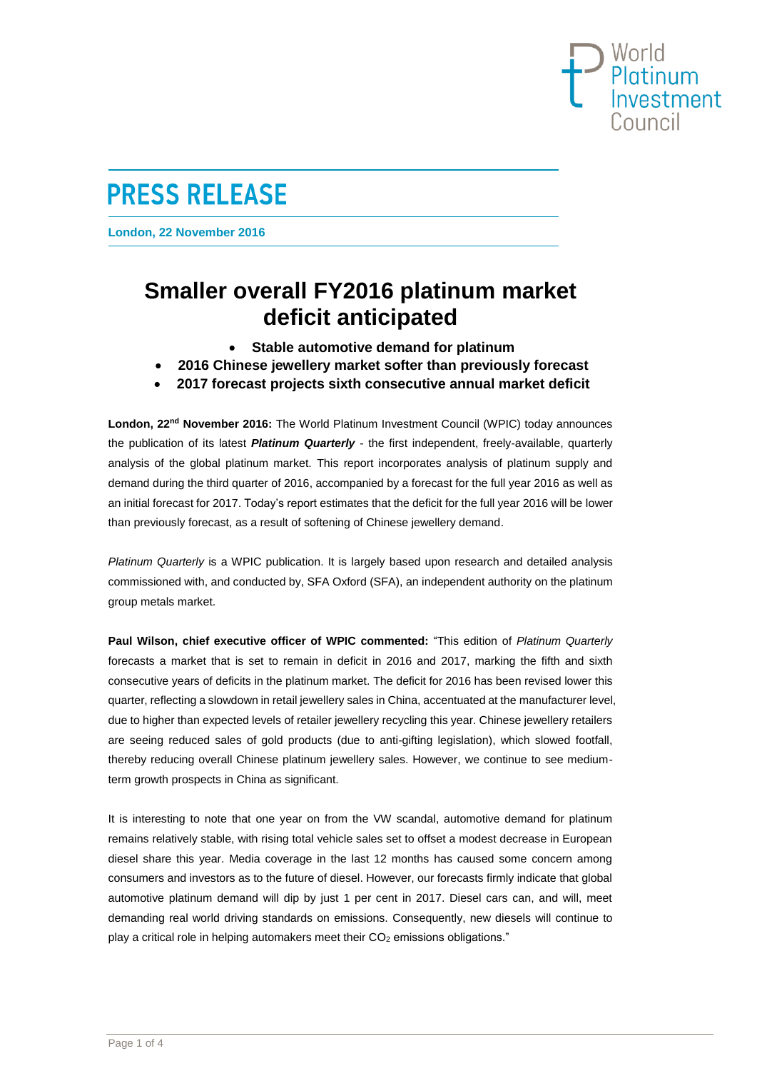## World<br>Platinum Investment Counci

# **PRESS RELEASE**

**London, 22 November 2016**

## **Smaller overall FY2016 platinum market deficit anticipated**

- **Stable automotive demand for platinum**
- **2016 Chinese jewellery market softer than previously forecast**
- **2017 forecast projects sixth consecutive annual market deficit**

**London, 22nd November 2016:** The World Platinum Investment Council (WPIC) today announces the publication of its latest *Platinum Quarterly* - the first independent, freely-available, quarterly analysis of the global platinum market. This report incorporates analysis of platinum supply and demand during the third quarter of 2016, accompanied by a forecast for the full year 2016 as well as an initial forecast for 2017. Today's report estimates that the deficit for the full year 2016 will be lower than previously forecast, as a result of softening of Chinese jewellery demand.

*Platinum Quarterly* is a WPIC publication. It is largely based upon research and detailed analysis commissioned with, and conducted by, SFA Oxford (SFA), an independent authority on the [platinum](http://www.sfa-oxford.com/SFA-Content-Page.asp?PageID=SFA-Platinum-Metals)  [group metals](http://www.sfa-oxford.com/SFA-Content-Page.asp?PageID=SFA-Platinum-Metals) market.

**Paul Wilson, chief executive officer of WPIC commented:** "This edition of *Platinum Quarterly* forecasts a market that is set to remain in deficit in 2016 and 2017, marking the fifth and sixth consecutive years of deficits in the platinum market. The deficit for 2016 has been revised lower this quarter, reflecting a slowdown in retail jewellery sales in China, accentuated at the manufacturer level, due to higher than expected levels of retailer jewellery recycling this year. Chinese jewellery retailers are seeing reduced sales of gold products (due to anti-gifting legislation), which slowed footfall, thereby reducing overall Chinese platinum jewellery sales. However, we continue to see mediumterm growth prospects in China as significant.

It is interesting to note that one year on from the VW scandal, automotive demand for platinum remains relatively stable, with rising total vehicle sales set to offset a modest decrease in European diesel share this year. Media coverage in the last 12 months has caused some concern among consumers and investors as to the future of diesel. However, our forecasts firmly indicate that global automotive platinum demand will dip by just 1 per cent in 2017. Diesel cars can, and will, meet demanding real world driving standards on emissions. Consequently, new diesels will continue to play a critical role in helping automakers meet their  $CO<sub>2</sub>$  emissions obligations."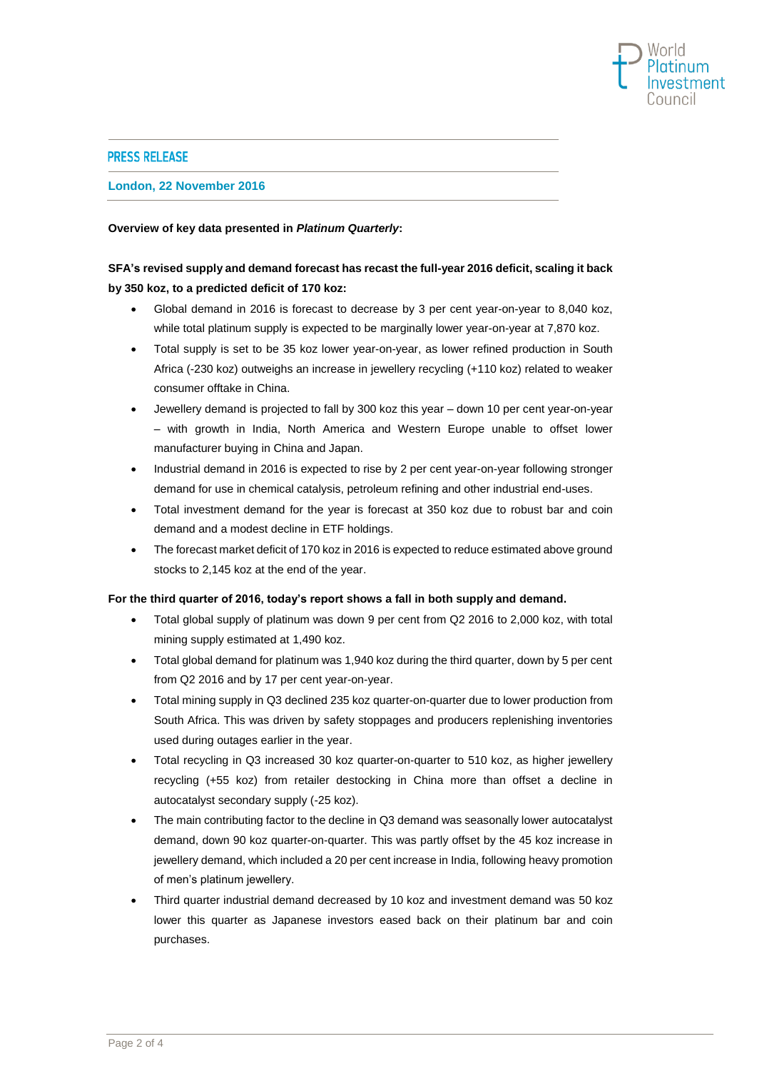

## **PRESS RELEASE**

## **London, 22 November 2016**

## **Overview of key data presented in** *Platinum Quarterly***:**

## **SFA's revised supply and demand forecast has recast the full-year 2016 deficit, scaling it back by 350 koz, to a predicted deficit of 170 koz:**

- Global demand in 2016 is forecast to decrease by 3 per cent year-on-year to 8,040 koz, while total platinum supply is expected to be marginally lower year-on-year at 7,870 koz.
- Total supply is set to be 35 koz lower year-on-year, as lower refined production in South Africa (-230 koz) outweighs an increase in jewellery recycling (+110 koz) related to weaker consumer offtake in China.
- Jewellery demand is projected to fall by 300 koz this year down 10 per cent year-on-year – with growth in India, North America and Western Europe unable to offset lower manufacturer buying in China and Japan.
- Industrial demand in 2016 is expected to rise by 2 per cent year-on-year following stronger demand for use in chemical catalysis, petroleum refining and other industrial end-uses.
- Total investment demand for the year is forecast at 350 koz due to robust bar and coin demand and a modest decline in ETF holdings.
- The forecast market deficit of 170 koz in 2016 is expected to reduce estimated above ground stocks to 2,145 koz at the end of the year.

### **For the third quarter of 2016, today's report shows a fall in both supply and demand.**

- Total global supply of platinum was down 9 per cent from Q2 2016 to 2,000 koz, with total mining supply estimated at 1,490 koz.
- Total global demand for platinum was 1,940 koz during the third quarter, down by 5 per cent from Q2 2016 and by 17 per cent year-on-year.
- Total mining supply in Q3 declined 235 koz quarter-on-quarter due to lower production from South Africa. This was driven by safety stoppages and producers replenishing inventories used during outages earlier in the year.
- Total recycling in Q3 increased 30 koz quarter-on-quarter to 510 koz, as higher jewellery recycling (+55 koz) from retailer destocking in China more than offset a decline in autocatalyst secondary supply (-25 koz).
- The main contributing factor to the decline in Q3 demand was seasonally lower autocatalyst demand, down 90 koz quarter-on-quarter. This was partly offset by the 45 koz increase in jewellery demand, which included a 20 per cent increase in India, following heavy promotion of men's platinum jewellery.
- Third quarter industrial demand decreased by 10 koz and investment demand was 50 koz lower this quarter as Japanese investors eased back on their platinum bar and coin purchases.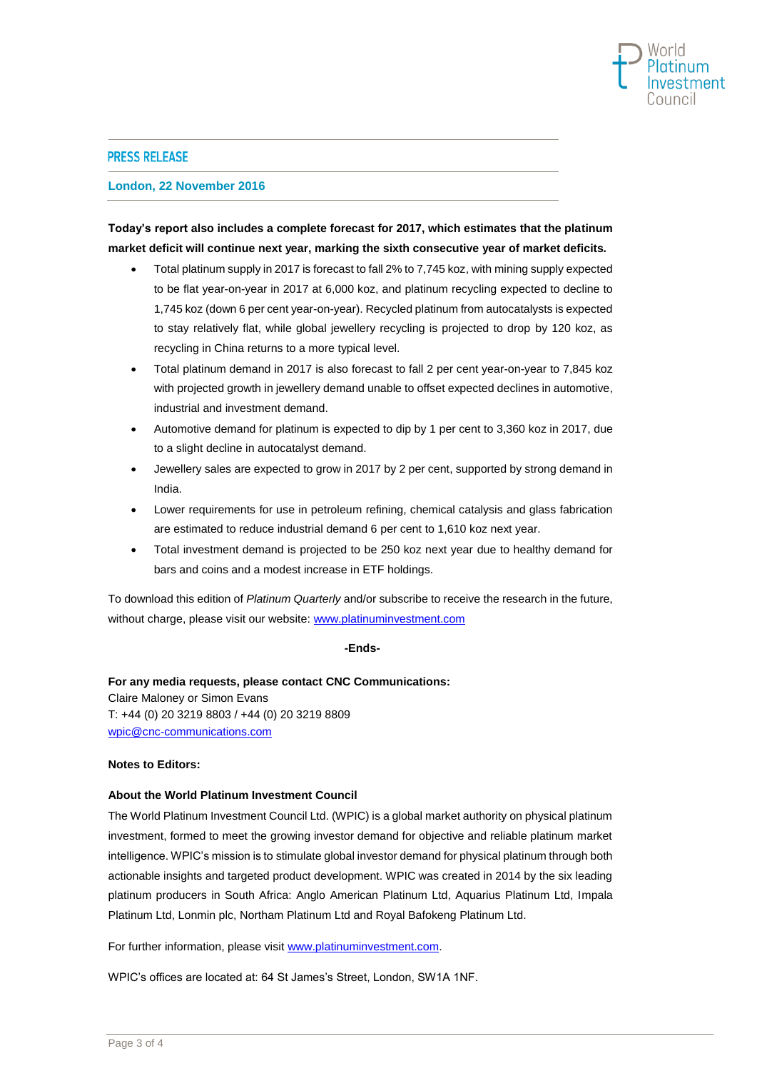

### **PRESS RELEASE**

**London, 22 November 2016**

## **Today's report also includes a complete forecast for 2017, which estimates that the platinum market deficit will continue next year, marking the sixth consecutive year of market deficits***.*

- Total platinum supply in 2017 is forecast to fall 2% to 7,745 koz, with mining supply expected to be flat year-on-year in 2017 at 6,000 koz, and platinum recycling expected to decline to 1,745 koz (down 6 per cent year-on-year). Recycled platinum from autocatalysts is expected to stay relatively flat, while global jewellery recycling is projected to drop by 120 koz, as recycling in China returns to a more typical level.
- Total platinum demand in 2017 is also forecast to fall 2 per cent year-on-year to 7,845 koz with projected growth in jewellery demand unable to offset expected declines in automotive, industrial and investment demand.
- Automotive demand for platinum is expected to dip by 1 per cent to 3,360 koz in 2017, due to a slight decline in autocatalyst demand.
- Jewellery sales are expected to grow in 2017 by 2 per cent, supported by strong demand in India.
- Lower requirements for use in petroleum refining, chemical catalysis and glass fabrication are estimated to reduce industrial demand 6 per cent to 1,610 koz next year.
- Total investment demand is projected to be 250 koz next year due to healthy demand for bars and coins and a modest increase in ETF holdings.

To download this edition of *Platinum Quarterly* and/or subscribe to receive the research in the future, without charge, please visit our website[: www.platinuminvestment.com](http://www.platinuminvestment.com/)

## **-Ends-**

## **For any media requests, please contact CNC Communications:**

Claire Maloney or Simon Evans T: +44 (0) 20 3219 8803 / +44 (0) 20 3219 8809 [wpic@cnc-communications.com](mailto:wpic@cnc-communications.com)

### **Notes to Editors:**

### **About the World Platinum Investment Council**

The World Platinum Investment Council Ltd. (WPIC) is a global market authority on physical platinum investment, formed to meet the growing investor demand for objective and reliable platinum market intelligence. WPIC's mission is to stimulate global investor demand for physical platinum through both actionable insights and targeted product development. WPIC was created in 2014 by the six leading platinum producers in South Africa: Anglo American Platinum Ltd, Aquarius Platinum Ltd, Impala Platinum Ltd, Lonmin plc, Northam Platinum Ltd and Royal Bafokeng Platinum Ltd.

For further information, please visit [www.platinuminvestment.com.](http://www.platinuminvestment.com/)

WPIC's offices are located at: 64 St James's Street, London, SW1A 1NF.